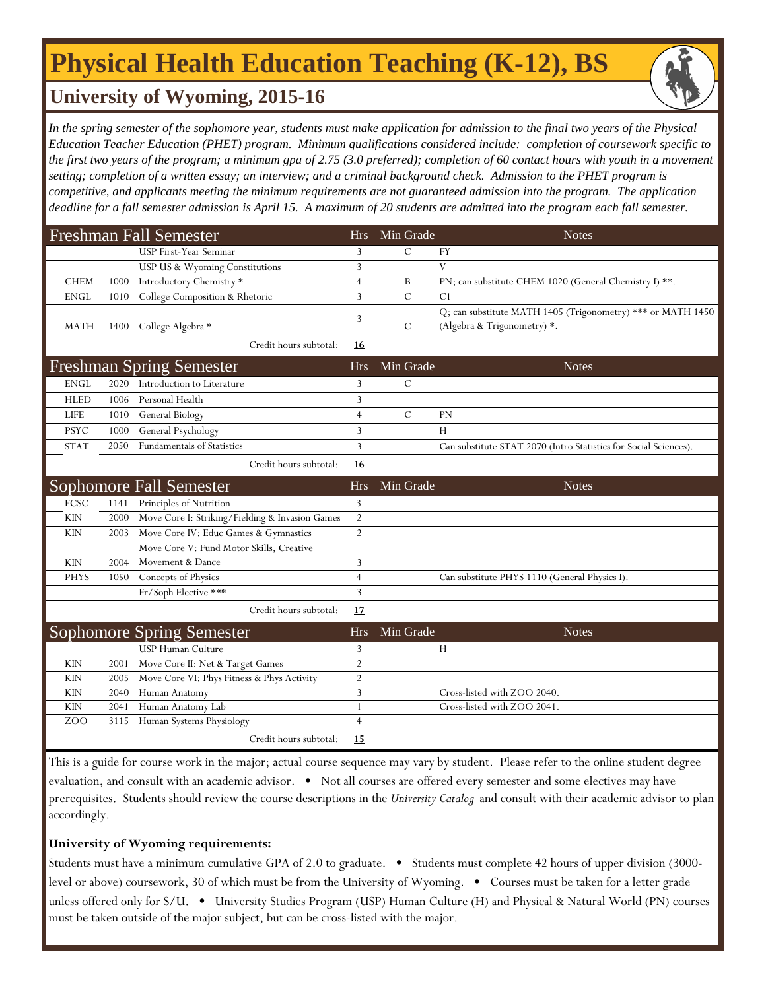# **Physical Health Education Teaching (K-12), BS**



### **University of Wyoming, 2015-16**

In the spring semester of the sophomore year, students must make application for admission to the final two years of the Physical *Education Teacher Education (PHET) program. Minimum qualifications considered include: completion of coursework specific to the first two years of the program; a minimum gpa of 2.75 (3.0 preferred); completion of 60 contact hours with youth in a movement setting; completion of a written essay; an interview; and a criminal background check. Admission to the PHET program is competitive, and applicants meeting the minimum requirements are not guaranteed admission into the program. The application deadline for a fall semester admission is April 15. A maximum of 20 students are admitted into the program each fall semester.*

|             |      | <b>Freshman Fall Semester</b>                   | <b>Hrs</b>     | Min Grade     | <b>Notes</b>                                                                               |
|-------------|------|-------------------------------------------------|----------------|---------------|--------------------------------------------------------------------------------------------|
|             |      | USP First-Year Seminar                          | 3              | С             | FY                                                                                         |
|             |      | USP US & Wyoming Constitutions                  | 3              |               | $\mathbf V$                                                                                |
| <b>CHEM</b> | 1000 | Introductory Chemistry *                        | $\overline{4}$ | B             | PN; can substitute CHEM 1020 (General Chemistry I) **.                                     |
| <b>ENGL</b> | 1010 | College Composition & Rhetoric                  | 3              | $\mathcal{C}$ | C <sub>1</sub>                                                                             |
| <b>MATH</b> | 1400 | College Algebra *                               | 3              | C             | Q; can substitute MATH 1405 (Trigonometry) *** or MATH 1450<br>(Algebra & Trigonometry) *. |
|             |      | Credit hours subtotal:                          | 16             |               |                                                                                            |
|             |      | <b>Freshman Spring Semester</b>                 | <b>Hrs</b>     | Min Grade     | <b>Notes</b>                                                                               |
| <b>ENGL</b> | 2020 | Introduction to Literature                      | 3              | $\mathcal{C}$ |                                                                                            |
| <b>HLED</b> | 1006 | Personal Health                                 | 3              |               |                                                                                            |
| <b>LIFE</b> | 1010 | General Biology                                 | $\overline{4}$ | $\mathcal{C}$ | PN                                                                                         |
| <b>PSYC</b> | 1000 | General Psychology                              | 3              |               | Н                                                                                          |
| <b>STAT</b> | 2050 | <b>Fundamentals of Statistics</b>               | 3              |               | Can substitute STAT 2070 (Intro Statistics for Social Sciences).                           |
|             |      | Credit hours subtotal:                          | 16             |               |                                                                                            |
|             |      | Sophomore Fall Semester                         | Hrs            | Min Grade     | <b>Notes</b>                                                                               |
| <b>FCSC</b> | 1141 | Principles of Nutrition                         | 3              |               |                                                                                            |
| <b>KIN</b>  | 2000 | Move Core I: Striking/Fielding & Invasion Games | $\overline{2}$ |               |                                                                                            |
| <b>KIN</b>  | 2003 | Move Core IV: Educ Games & Gymnastics           | $\overline{2}$ |               |                                                                                            |
|             |      | Move Core V: Fund Motor Skills, Creative        |                |               |                                                                                            |
| <b>KIN</b>  | 2004 | Movement & Dance                                | 3              |               |                                                                                            |
| <b>PHYS</b> | 1050 | Concepts of Physics                             | $\overline{4}$ |               | Can substitute PHYS 1110 (General Physics I).                                              |
|             |      | Fr/Soph Elective ***                            | 3              |               |                                                                                            |
|             |      | Credit hours subtotal:                          | 17             |               |                                                                                            |
|             |      | <b>Sophomore Spring Semester</b>                | <b>Hrs</b>     | Min Grade     | <b>Notes</b>                                                                               |
|             |      | <b>USP Human Culture</b>                        | 3              |               | H                                                                                          |
| <b>KIN</b>  | 2001 | Move Core II: Net & Target Games                | $\overline{2}$ |               |                                                                                            |
| <b>KIN</b>  | 2005 | Move Core VI: Phys Fitness & Phys Activity      | $\overline{2}$ |               |                                                                                            |
| <b>KIN</b>  | 2040 | Human Anatomy                                   | 3              |               | Cross-listed with ZOO 2040.                                                                |
| <b>KIN</b>  | 2041 | Human Anatomy Lab                               | $\mathbf{1}$   |               | Cross-listed with ZOO 2041.                                                                |
| ZOO         | 3115 | Human Systems Physiology                        | $\overline{4}$ |               |                                                                                            |
|             |      | Credit hours subtotal:                          | 15             |               |                                                                                            |
|             |      |                                                 |                |               |                                                                                            |

This is a guide for course work in the major; actual course sequence may vary by student. Please refer to the online student degree evaluation, and consult with an academic advisor. • Not all courses are offered every semester and some electives may have prerequisites. Students should review the course descriptions in the *University Catalog* and consult with their academic advisor to plan accordingly.

#### **University of Wyoming requirements:**

Students must have a minimum cumulative GPA of 2.0 to graduate. • Students must complete 42 hours of upper division (3000 level or above) coursework, 30 of which must be from the University of Wyoming. • Courses must be taken for a letter grade unless offered only for S/U. • University Studies Program (USP) Human Culture (H) and Physical & Natural World (PN) courses must be taken outside of the major subject, but can be cross-listed with the major.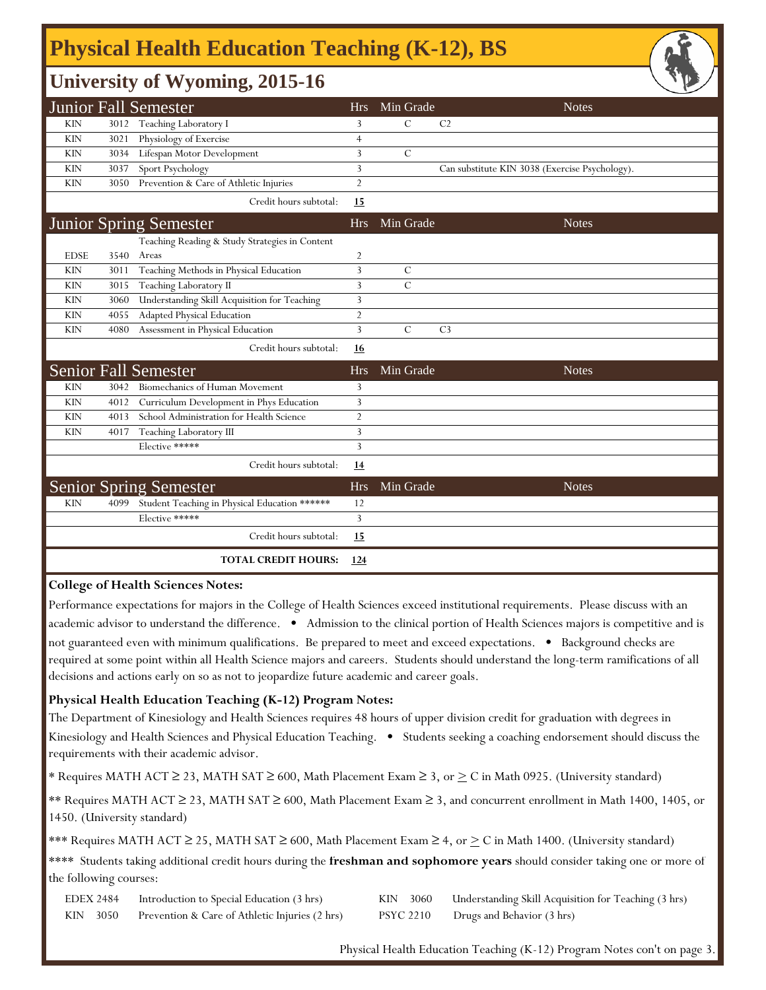## **Physical Health Education Teaching (K-12), BS**

### **University of Wyoming, 2015-16**

|             |      | $\mathbf{\mathcal{C}}$                         |                |               |                                                | سند |
|-------------|------|------------------------------------------------|----------------|---------------|------------------------------------------------|-----|
|             |      | <b>Junior Fall Semester</b>                    | <b>Hrs</b>     | Min Grade     | <b>Notes</b>                                   |     |
| <b>KIN</b>  | 3012 | Teaching Laboratory I                          | 3              | C             | C <sub>2</sub>                                 |     |
| <b>KIN</b>  | 3021 | Physiology of Exercise                         | 4              |               |                                                |     |
| <b>KIN</b>  | 3034 | Lifespan Motor Development                     | 3              | $\mathcal{C}$ |                                                |     |
| <b>KIN</b>  | 3037 | Sport Psychology                               | 3              |               | Can substitute KIN 3038 (Exercise Psychology). |     |
| <b>KIN</b>  | 3050 | Prevention & Care of Athletic Injuries         | $\overline{2}$ |               |                                                |     |
|             |      | Credit hours subtotal:                         | 15             |               |                                                |     |
|             |      | <b>Junior Spring Semester</b>                  | <b>Hrs</b>     | Min Grade     | <b>Notes</b>                                   |     |
|             |      | Teaching Reading & Study Strategies in Content |                |               |                                                |     |
| <b>EDSE</b> | 3540 | Areas                                          | $\overline{2}$ |               |                                                |     |
| <b>KIN</b>  | 3011 | Teaching Methods in Physical Education         | 3              | $\mathcal{C}$ |                                                |     |
| <b>KIN</b>  | 3015 | Teaching Laboratory II                         | 3              | $\mathcal{C}$ |                                                |     |
| <b>KIN</b>  | 3060 | Understanding Skill Acquisition for Teaching   | 3              |               |                                                |     |
| <b>KIN</b>  | 4055 | Adapted Physical Education                     | $\overline{2}$ |               |                                                |     |
| <b>KIN</b>  | 4080 | Assessment in Physical Education               | 3              | $\mathcal{C}$ | C <sub>3</sub>                                 |     |
|             |      | Credit hours subtotal:                         | <u>16</u>      |               |                                                |     |
|             |      | <b>Senior Fall Semester</b>                    | <b>Hrs</b>     | Min Grade     | <b>Notes</b>                                   |     |
| <b>KIN</b>  | 3042 | Biomechanics of Human Movement                 | 3              |               |                                                |     |
| <b>KIN</b>  | 4012 | Curriculum Development in Phys Education       | 3              |               |                                                |     |
| <b>KIN</b>  | 4013 | School Administration for Health Science       | $\overline{2}$ |               |                                                |     |
| <b>KIN</b>  | 4017 | Teaching Laboratory III                        | 3              |               |                                                |     |
|             |      | Elective *****                                 | 3              |               |                                                |     |
|             |      | Credit hours subtotal:                         | <u>14</u>      |               |                                                |     |
|             |      | <b>Senior Spring Semester</b>                  | <b>Hrs</b>     | Min Grade     | <b>Notes</b>                                   |     |
| <b>KIN</b>  | 4099 | Student Teaching in Physical Education ******  | 12             |               |                                                |     |
|             |      | Elective *****                                 | 3              |               |                                                |     |
|             |      | Credit hours subtotal:                         | 15             |               |                                                |     |
|             |      | <b>TOTAL CREDIT HOURS:</b>                     | <u>124</u>     |               |                                                |     |

#### **College of Health Sciences Notes:**

Performance expectations for majors in the College of Health Sciences exceed institutional requirements. Please discuss with an academic advisor to understand the difference. • Admission to the clinical portion of Health Sciences majors is competitive and is not guaranteed even with minimum qualifications. Be prepared to meet and exceed expectations. • Background checks are required at some point within all Health Science majors and careers. Students should understand the long-term ramifications of all decisions and actions early on so as not to jeopardize future academic and career goals.

#### **Physical Health Education Teaching (K-12) Program Notes:**

The Department of Kinesiology and Health Sciences requires 48 hours of upper division credit for graduation with degrees in Kinesiology and Health Sciences and Physical Education Teaching. • Students seeking a coaching endorsement should discuss the requirements with their academic advisor.

\* Requires MATH ACT ≥ 23, MATH SAT ≥ 600, Math Placement Exam ≥ 3, or  $\geq$  C in Math 0925. (University standard)

\*\* Requires MATH ACT ≥ 23, MATH SAT ≥ 600, Math Placement Exam ≥ 3, and concurrent enrollment in Math 1400, 1405, or 1450. (University standard)

\*\*\* Requires MATH ACT ≥ 25, MATH SAT ≥ 600, Math Placement Exam ≥ 4, or > C in Math 1400. (University standard)

\*\*\*\* Students taking additional credit hours during the **freshman and sophomore years** should consider taking one or more of the following courses:

| EDEX 2484 | Introduction to Special Education (3 hrs)      |           | KIN 3060 Understanding Skill Acquisition for Teaching (3 hrs) |
|-----------|------------------------------------------------|-----------|---------------------------------------------------------------|
| KIN 3050  | Prevention & Care of Athletic Injuries (2 hrs) | PSYC 2210 | Drugs and Behavior (3 hrs)                                    |

Physical Health Education Teaching (K-12) Program Notes con't on page 3.